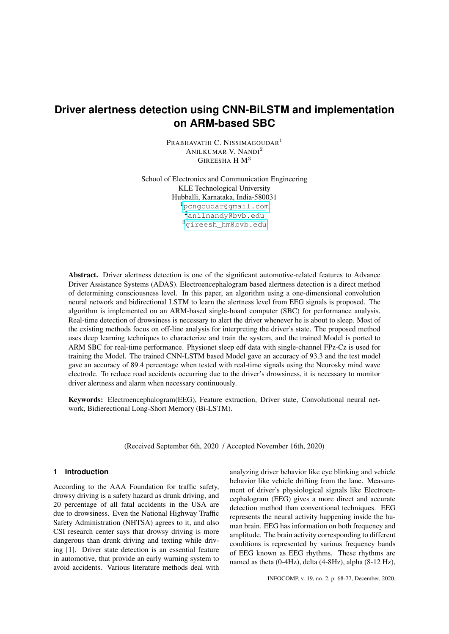# **Driver alertness detection using CNN-BiLSTM and implementation on ARM-based SBC**

PRABHAVATHI C. NISSIMAGOUDAR<sup>1</sup> ANILKUMAR V. NANDI<sup>2</sup> GIREESHA H  $M<sup>3</sup>$ 

School of Electronics and Communication Engineering KLE Technological University Hubballi, Karnataka, India-580031 <sup>1</sup>[pcngoudar@gmail.com](pcngoudar @ gmail.com ) <sup>2</sup><anilnandy@bvb.edu> <sup>3</sup>[gireesh\\_hm@bvb.edu](gireesh_hm@bvb.edu)

Abstract. Driver alertness detection is one of the significant automotive-related features to Advance Driver Assistance Systems (ADAS). Electroencephalogram based alertness detection is a direct method of determining consciousness level. In this paper, an algorithm using a one-dimensional convolution neural network and bidirectional LSTM to learn the alertness level from EEG signals is proposed. The algorithm is implemented on an ARM-based single-board computer (SBC) for performance analysis. Real-time detection of drowsiness is necessary to alert the driver whenever he is about to sleep. Most of the existing methods focus on off-line analysis for interpreting the driver's state. The proposed method uses deep learning techniques to characterize and train the system, and the trained Model is ported to ARM SBC for real-time performance. Physionet sleep edf data with single-channel FPz-Cz is used for training the Model. The trained CNN-LSTM based Model gave an accuracy of 93.3 and the test model gave an accuracy of 89.4 percentage when tested with real-time signals using the Neurosky mind wave electrode. To reduce road accidents occurring due to the driver's drowsiness, it is necessary to monitor driver alertness and alarm when necessary continuously.

Keywords: Electroencephalogram(EEG), Feature extraction, Driver state, Convolutional neural network, Bidierectional Long-Short Memory (Bi-LSTM).

(Received September 6th, 2020 / Accepted November 16th, 2020)

# **1 Introduction**

According to the AAA Foundation for traffic safety, drowsy driving is a safety hazard as drunk driving, and 20 percentage of all fatal accidents in the USA are due to drowsiness. Even the National Highway Traffic Safety Administration (NHTSA) agrees to it, and also CSI research center says that drowsy driving is more dangerous than drunk driving and texting while driving [1]. Driver state detection is an essential feature in automotive, that provide an early warning system to avoid accidents. Various literature methods deal with

analyzing driver behavior like eye blinking and vehicle behavior like vehicle drifting from the lane. Measurement of driver's physiological signals like Electroencephalogram (EEG) gives a more direct and accurate detection method than conventional techniques. EEG represents the neural activity happening inside the human brain. EEG has information on both frequency and amplitude. The brain activity corresponding to different conditions is represented by various frequency bands of EEG known as EEG rhythms. These rhythms are named as theta (0-4Hz), delta (4-8Hz), alpha (8-12 Hz),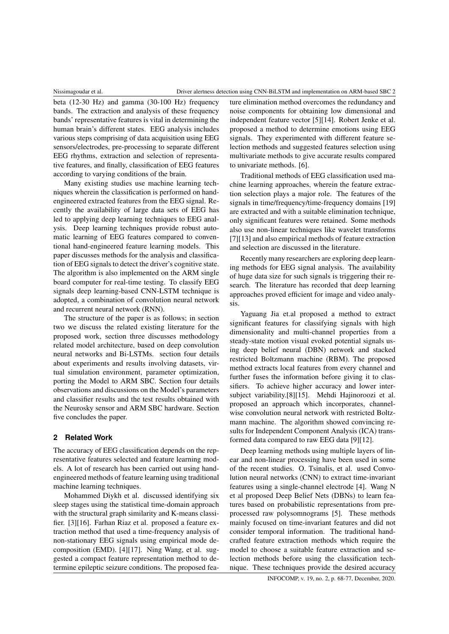beta (12-30 Hz) and gamma (30-100 Hz) frequency bands. The extraction and analysis of these frequency bands' representative features is vital in determining the human brain's different states. EEG analysis includes various steps comprising of data acquisition using EEG sensors/electrodes, pre-processing to separate different EEG rhythms, extraction and selection of representative features, and finally, classification of EEG features according to varying conditions of the brain.

Many existing studies use machine learning techniques wherein the classification is performed on handengineered extracted features from the EEG signal. Recently the availability of large data sets of EEG has led to applying deep learning techniques to EEG analysis. Deep learning techniques provide robust automatic learning of EEG features compared to conventional hand-engineered feature learning models. This paper discusses methods for the analysis and classification of EEG signals to detect the driver's cognitive state. The algorithm is also implemented on the ARM single board computer for real-time testing. To classify EEG signals deep learning-based CNN-LSTM technique is adopted, a combination of convolution neural network and recurrent neural network (RNN).

The structure of the paper is as follows; in section two we discuss the related existing literature for the proposed work, section three discusses methodology related model architecture, based on deep convolution neural networks and Bi-LSTMs. section four details about experiments and results involving datasets, virtual simulation environment, parameter optimization, porting the Model to ARM SBC. Section four details observations and discussions on the Model's parameters and classifier results and the test results obtained with the Neurosky sensor and ARM SBC hardware. Section five concludes the paper.

# **2 Related Work**

The accuracy of EEG classification depends on the representative features selected and feature learning models. A lot of research has been carried out using handengineered methods of feature learning using traditional machine learning techniques.

Mohammed Diykh et al. discussed identifying six sleep stages using the statistical time-domain approach with the structural graph similarity and K-means classifier. [3][16]. Farhan Riaz et al. proposed a feature extraction method that used a time-frequency analysis of non-stationary EEG signals using empirical mode decomposition (EMD). [4][17]. Ning Wang, et al. suggested a compact feature representation method to determine epileptic seizure conditions. The proposed feature elimination method overcomes the redundancy and noise components for obtaining low dimensional and independent feature vector [5][14]. Robert Jenke et al. proposed a method to determine emotions using EEG signals. They experimented with different feature selection methods and suggested features selection using multivariate methods to give accurate results compared to univariate methods. [6].

Traditional methods of EEG classification used machine learning approaches, wherein the feature extraction selection plays a major role. The features of the signals in time/frequency/time-frequency domains [19] are extracted and with a suitable elimination technique, only significant features were retained. Some methods also use non-linear techniques like wavelet transforms [7][13] and also empirical methods of feature extraction and selection are discussed in the literature.

Recently many researchers are exploring deep learning methods for EEG signal analysis. The availability of huge data size for such signals is triggering their research. The literature has recorded that deep learning approaches proved efficient for image and video analysis.

Yaguang Jia et.al proposed a method to extract significant features for classifying signals with high dimensionality and multi-channel properties from a steady-state motion visual evoked potential signals using deep belief neural (DBN) network and stacked restricted Boltzmann machine (RBM). The proposed method extracts local features from every channel and further fuses the information before giving it to classifiers. To achieve higher accuracy and lower intersubject variability.[8][15]. Mehdi Hajinoroozi et al. proposed an approach which incorporates, channelwise convolution neural network with restricted Boltzmann machine. The algorithm showed convincing results for Independent Component Analysis (ICA) transformed data compared to raw EEG data [9][12].

Deep learning methods using multiple layers of linear and non-linear processing have been used in some of the recent studies. O. Tsinalis, et al. used Convolution neural networks (CNN) to extract time-invariant features using a single-channel electrode [4]. Wang N et al proposed Deep Belief Nets (DBNs) to learn features based on probabilistic representations from preprocessed raw polysomnograms [5]. These methods mainly focused on time-invariant features and did not consider temporal information. The traditional handcrafted feature extraction methods which require the model to choose a suitable feature extraction and selection methods before using the classification technique. These techniques provide the desired accuracy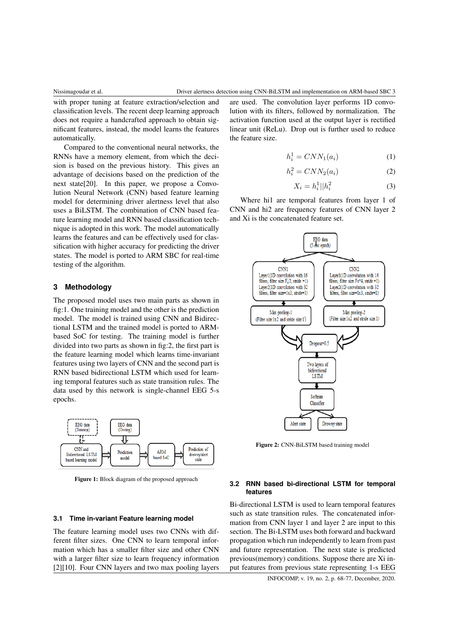with proper tuning at feature extraction/selection and classification levels. The recent deep learning approach does not require a handcrafted approach to obtain significant features, instead, the model learns the features automatically.

Compared to the conventional neural networks, the RNNs have a memory element, from which the decision is based on the previous history. This gives an advantage of decisions based on the prediction of the next state[20]. In this paper, we propose a Convolution Neural Network (CNN) based feature learning model for determining driver alertness level that also uses a BiLSTM. The combination of CNN based feature learning model and RNN based classification technique is adopted in this work. The model automatically learns the features and can be effectively used for classification with higher accuracy for predicting the driver states. The model is ported to ARM SBC for real-time testing of the algorithm.

# **3 Methodology**

The proposed model uses two main parts as shown in fig:1. One training model and the other is the prediction model. The model is trained using CNN and Bidirectional LSTM and the trained model is ported to ARMbased SoC for testing. The training model is further divided into two parts as shown in fig:2, the first part is the feature learning model which learns time-invariant features using two layers of CNN and the second part is RNN based bidirectional LSTM which used for learning temporal features such as state transition rules. The data used by this network is single-channel EEG 5-s epochs.



Figure 1: Block diagram of the proposed approach

# **3.1 Time in-variant Feature learning model**

The feature learning model uses two CNNs with different filter sizes. One CNN to learn temporal information which has a smaller filter size and other CNN with a larger filter size to learn frequency information [2][10]. Four CNN layers and two max pooling layers are used. The convolution layer performs 1D convolution with its filters, followed by normalization. The activation function used at the output layer is rectified linear unit (ReLu). Drop out is further used to reduce the feature size.

$$
h_i^1 = CNN_1(a_i) \tag{1}
$$

$$
h_i^2 = CNN_2(a_i) \tag{2}
$$

$$
X_i = h_i^1 || h_i^2
$$
 (3)

Where hi1 are temporal features from layer 1 of CNN and hi2 are frequency features of CNN layer 2 and Xi is the concatenated feature set.



Figure 2: CNN-BiLSTM based training model

#### **3.2 RNN based bi-directional LSTM for temporal features**

Bi-directional LSTM is used to learn temporal features such as state transition rules. The concatenated information from CNN layer 1 and layer 2 are input to this section. The Bi-LSTM uses both forward and backward propagation which run independently to learn from past and future representation. The next state is predicted previous(memory) conditions. Suppose there are Xi input features from previous state representing 1-s EEG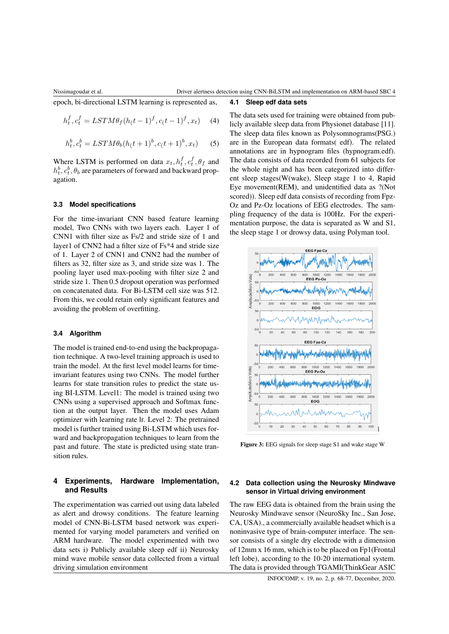**4.1 Sleep edf data sets**

epoch, bi-directional LSTM learning is represented as,

$$
h_t^f, c_t^f = LSTM\theta_f(h_(t-1)^f, c_(t-1)^f, x_t)
$$
 (4)

$$
h_t^b, c_t^b = LSTM\theta_b(h_(t+1)^b, c_(t+1)^b, x_t)
$$
 (5)

Where LSTM is performed on data  $x_t, h_t^f, c_t^f, \theta_f$  and  $h_t^b, c_t^b, \theta_b$  are parameters of forward and backward propagation.

#### **3.3 Model specifications**

For the time-invariant CNN based feature learning model, Two CNNs with two layers each. Layer 1 of CNN1 with filter size as Fs/2 and stride size of 1 and layer1 of CNN2 had a filter size of Fs\*4 and stride size of 1. Layer 2 of CNN1 and CNN2 had the number of filters as 32, filter size as 3, and stride size was 1. The pooling layer used max-pooling with filter size 2 and stride size 1. Then 0.5 dropout operation was performed on concatenated data. For Bi-LSTM cell size was 512. From this, we could retain only significant features and avoiding the problem of overfitting.

#### **3.4 Algorithm**

The model is trained end-to-end using the backpropagation technique. A two-level training approach is used to train the model. At the first level model learns for timeinvariant features using two CNNs. The model further learns for state transition rules to predict the state using BI-LSTM. Level1: The model is trained using two CNNs using a supervised approach and Softmax function at the output layer. Then the model uses Adam optimizer with learning rate lr. Level 2: The pretrained model is further trained using Bi-LSTM which uses forward and backpropagation techniques to learn from the past and future. The state is predicted using state transition rules.

# **4 Experiments, Hardware Implementation, and Results**

The experimentation was carried out using data labeled as alert and drowsy conditions. The feature learning model of CNN-Bi-LSTM based network was experimented for varying model parameters and verified on ARM hardware. The model experimented with two data sets i) Publicly available sleep edf ii) Neurosky mind wave mobile sensor data collected from a virtual driving simulation environment

The data sets used for training were obtained from publicly available sleep data from Physionet database [11]. The sleep data files known as Polysomnograms(PSG.) are in the European data formats( edf). The related annotations are in hypnogram files (hypnogram.edf). The data consists of data recorded from 61 subjects for the whole night and has been categorized into different sleep stages(W(wake), Sleep stage 1 to 4, Rapid Eye movement(REM), and unidentified data as ?(Not scored)). Sleep edf data consists of recording from Fpz-Oz and Pz-Oz locations of EEG electrodes. The sampling frequency of the data is 100Hz. For the experimentation purpose, the data is separated as W and S1, the sleep stage 1 or drowsy data, using Polyman tool.



Figure 3: EEG signals for sleep stage S1 and wake stage W

# **4.2 Data collection using the Neurosky Mindwave sensor in Virtual driving environment**

The raw EEG data is obtained from the brain using the Neurosky Mindwave sensor (NeuroSky Inc., San Jose, CA, USA)., a commercially available headset which is a noninvasive type of brain-computer interface. The sensor consists of a single dry electrode with a dimension of 12mm x 16 mm, which is to be placed on Fp1(Frontal left lobe), according to the 10-20 international system. The data is provided through TGAMI(ThinkGear ASIC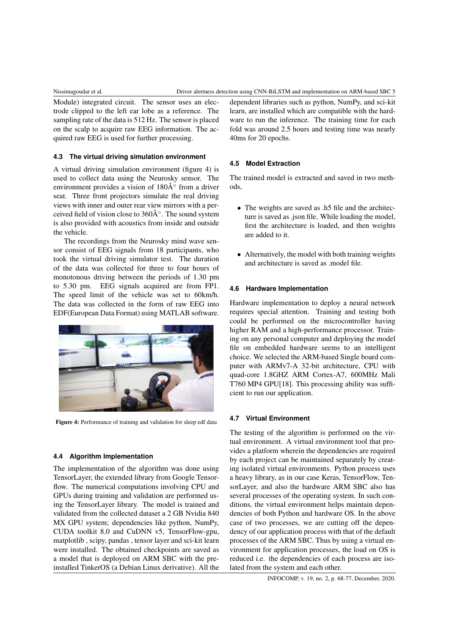Module) integrated circuit. The sensor uses an electrode clipped to the left ear lobe as a reference. The sampling rate of the data is 512 Hz. The sensor is placed on the scalp to acquire raw EEG information. The acquired raw EEG is used for further processing.

### **4.3 The virtual driving simulation environment**

A virtual driving simulation environment (figure 4) is used to collect data using the Neurosky sensor. The environment provides a vision of  $180\text{\AA}^\circ$  from a driver seat. Three front projectors simulate the real driving views with inner and outer rear view mirrors with a perceived field of vision close to  $360\text{\AA}^\circ$ . The sound system is also provided with acoustics from inside and outside the vehicle.

The recordings from the Neurosky mind wave sensor consist of EEG signals from 18 participants, who took the virtual driving simulator test. The duration of the data was collected for three to four hours of monotonous driving between the periods of 1.30 pm to 5.30 pm. EEG signals acquired are from FP1. The speed limit of the vehicle was set to 60km/h. The data was collected in the form of raw EEG into EDF(European Data Format) using MATLAB software.



Figure 4: Performance of training and validation for sleep edf data

### **4.4 Algorithm Implementation**

The implementation of the algorithm was done using TensorLayer, the extended library from Google Tensorflow. The numerical computations involving CPU and GPUs during training and validation are performed using the TensorLayer library. The model is trained and validated from the collected dataset a 2 GB Nvidia 840 MX GPU system; dependencies like python, NumPy, CUDA toolkit 8.0 and CuDNN v5, TensorFlow-gpu, matplotlib , scipy, pandas , tensor layer and sci-kit learn were installed. The obtained checkpoints are saved as a model that is deployed on ARM SBC with the preinstalled TinkerOS (a Debian Linux derivative). All the

dependent libraries such as python, NumPy, and sci-kit learn, are installed which are compatible with the hardware to run the inference. The training time for each fold was around 2.5 hours and testing time was nearly 40ms for 20 epochs.

# **4.5 Model Extraction**

The trained model is extracted and saved in two methods,

- The weights are saved as .h5 file and the architecture is saved as .json file. While loading the model, first the architecture is loaded, and then weights are added to it.
- Alternatively, the model with both training weights and architecture is saved as .model file.

#### **4.6 Hardware Implementation**

Hardware implementation to deploy a neural network requires special attention. Training and testing both could be performed on the microcontroller having higher RAM and a high-performance processor. Training on any personal computer and deploying the model file on embedded hardware seems to an intelligent choice. We selected the ARM-based Single board computer with ARMv7-A 32-bit architecture, CPU with quad-core 1.8GHZ ARM Cortex-A7, 600MHz Mali T760 MP4 GPU[18]. This processing ability was sufficient to run our application.

#### **4.7 Virtual Environment**

The testing of the algorithm is performed on the virtual environment. A virtual environment tool that provides a platform wherein the dependencies are required by each project can be maintained separately by creating isolated virtual environments. Python process uses a heavy library, as in our case Keras, TensorFlow, TensorLayer, and also the hardware ARM SBC also has several processes of the operating system. In such conditions, the virtual environment helps maintain dependencies of both Python and hardware OS. In the above case of two processes, we are cutting off the dependency of our application process with that of the default processes of the ARM SBC. Thus by using a virtual environment for application processes, the load on OS is reduced i.e. the dependencies of each process are isolated from the system and each other.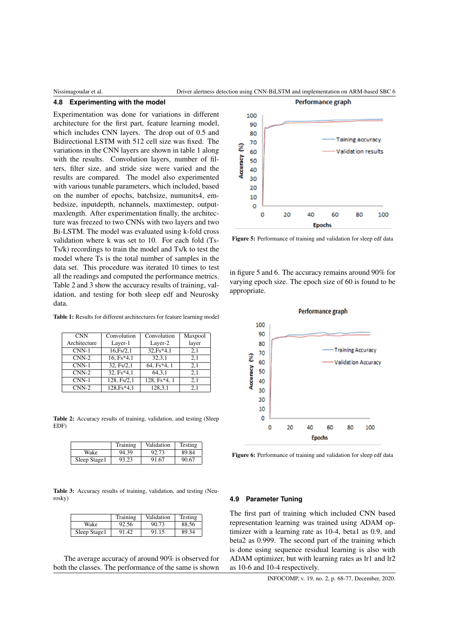#### **4.8 Experimenting with the model**

Experimentation was done for variations in different architecture for the first part, feature learning model, which includes CNN layers. The drop out of 0.5 and Bidirectional LSTM with 512 cell size was fixed. The variations in the CNN layers are shown in table 1 along with the results. Convolution layers, number of filters, filter size, and stride size were varied and the results are compared. The model also experimented with various tunable parameters, which included, based on the number of epochs, batchsize, numunits4, embedsize, inputdepth, nchannels, maxtimestep, outputmaxlength. After experimentation finally, the architecture was freezed to two CNNs with two layers and two Bi-LSTM. The model was evaluated using k-fold cross validation where k was set to 10. For each fold (Ts-Ts/k) recordings to train the model and Ts/k to test the model where Ts is the total number of samples in the data set. This procedure was iterated 10 times to test all the readings and computed the performance metrics. Table 2 and 3 show the accuracy results of training, validation, and testing for both sleep edf and Neurosky data.

Table 1: Results for different architectures for feature learning model

| <b>CNN</b>   | Convolution  | Convolution  | Maxpool |
|--------------|--------------|--------------|---------|
| Architecture | Layer-1      | Layer-2      | layer   |
| $CNN-1$      | 16.Fs/2,1    | $32.Fs*4,1$  | 2,1     |
| $CNN-2$      | 16, Fs*4,1   | 32,3,1       | 2,1     |
| $CNN-1$      | 32, Fs/2,1   | 64, Fs*4, 1  | 2.1     |
| $CNN-2$      | $32, Fs*4,1$ | 64, 3, 1     | 2,1     |
| $CNN-1$      | 128, Fs/2,1  | 128, Fs*4, 1 | 2.1     |
| $CNN-2$      | 128, Fs*4, 1 | 128,3,1      | 2.1     |

Table 2: Accuracy results of training, validation, and testing (Sleep EDF)

|               | Training | Validation | Testing |  |
|---------------|----------|------------|---------|--|
| Wake<br>94.39 |          | 92.73      | 89.84   |  |
| Sleep Stage1  | 93.23    | 91.67      | 90.67   |  |

Table 3: Accuracy results of training, validation, and testing (Neurosky)

|              | Training | Validation | Testing |  |
|--------------|----------|------------|---------|--|
| Wake         | 92.56    | 90.73      | 88.56   |  |
| Sleep Stage1 | 91.42    | 91.15      | 89.34   |  |

The average accuracy of around 90% is observed for both the classes. The performance of the same is shown



Figure 5: Performance of training and validation for sleep edf data

in figure 5 and 6. The accuracy remains around 90% for varying epoch size. The epoch size of 60 is found to be appropriate.



Figure 6: Performance of training and validation for sleep edf data

### **4.9 Parameter Tuning**

The first part of training which included CNN based representation learning was trained using ADAM optimizer with a learning rate as 10-4, beta1 as 0.9, and beta2 as 0.999. The second part of the training which is done using sequence residual learning is also with ADAM optimizer, but with learning rates as lr1 and lr2 as 10-6 and 10-4 respectively.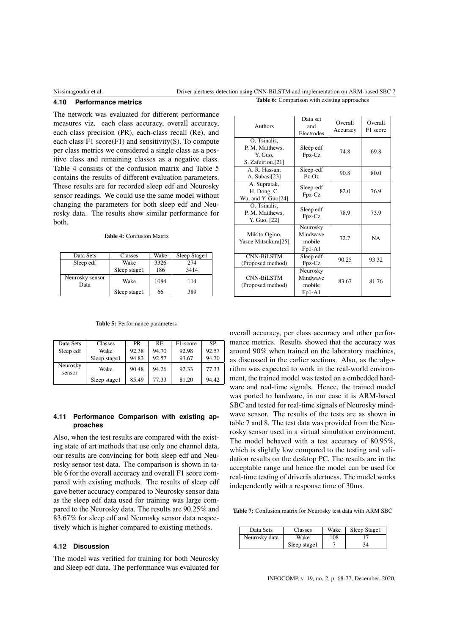## Nissimagoudar et al. 2002 Driver alertness detection using CNN-BiLSTM and implementation on ARM-based SBC 7

#### **4.10 Performance metrics**

The network was evaluated for different performance measures viz. each class accuracy, overall accuracy, each class precision (PR), each-class recall (Re), and each class  $F1$  score $(F1)$  and sensitivity $(S)$ . To compute per class metrics we considered a single class as a positive class and remaining classes as a negative class. Table 4 consists of the confusion matrix and Table 5 contains the results of different evaluation parameters. These results are for recorded sleep edf and Neurosky sensor readings. We could use the same model without changing the parameters for both sleep edf and Neurosky data. The results show similar performance for both.

Table 4: Confusion Matrix

| Data Sets               | Classes      | Wake | Sleep Stage1 |
|-------------------------|--------------|------|--------------|
| Sleep edf               | Wake         | 3326 | 274          |
|                         | Sleep stage1 | 186  | 3414         |
| Neurosky sensor<br>Data | Wake         | 1084 | 114          |
|                         | Sleep stage1 | 66   | 389          |

| Authors                                                         | Data set<br>and<br>Electrodes              | Overall<br>Accuracy | Overall<br>F1 score |
|-----------------------------------------------------------------|--------------------------------------------|---------------------|---------------------|
| O. Tsinalis,<br>P. M. Matthews,<br>Y. Guo.<br>S. Zafeiriou.[21] | Sleep edf<br>Fpz-Cz                        | 74.8                | 69.8                |
| A. R. Hassan,<br>A. Subasi[23]                                  | Sleep-edf<br>90.8<br>$Pz-Oz$               |                     | 80.0                |
| A. Supratak,<br>H. Dong, C.<br>Wu, and Y. Guo[24]               | Sleep-edf<br>Fpz-Cz                        | 82.0                | 76.9                |
| O. Tsinalis.<br>P. M. Matthews,<br>Y. Guo, [22]                 | Sleep edf<br>Fpz-Cz                        |                     | 73.9                |
| Mikito Ogino,<br>Yasue Mitsukura[25]                            | Neurosky<br>Mindwave<br>mobile<br>$Fp1-A1$ |                     | <b>NA</b>           |
| <b>CNN-BiLSTM</b><br>Sleep edf<br>Fpz-Cz<br>(Proposed method)   |                                            | 90.25               | 93.32               |
| <b>CNN-BiLSTM</b><br>(Proposed method)                          | Neurosky<br>Mindwave<br>mobile<br>$Fp1-A1$ | 83.67               | 81.76               |

Table 6: Comparison with existing approaches

Table 5: Performance parameters

| Data Sets          | <b>Classes</b> | <b>PR</b> | RE    | F <sub>1</sub> -score | SP    |
|--------------------|----------------|-----------|-------|-----------------------|-------|
| Sleep edf          | Wake           | 92.38     | 94.70 | 92.98                 | 92.57 |
|                    | Sleep stage1   | 94.83     | 92.57 | 93.67                 | 94.70 |
| Neurosky<br>sensor | Wake           | 90.48     | 94.26 | 92.33                 | 77.33 |
|                    | Sleep stage1   | 85.49     | 77.33 | 81.20                 | 94.42 |

### **4.11 Performance Comparison with existing approaches**

Also, when the test results are compared with the existing state of art methods that use only one channel data, our results are convincing for both sleep edf and Neurosky sensor test data. The comparison is shown in table 6 for the overall accuracy and overall F1 score compared with existing methods. The results of sleep edf gave better accuracy compared to Neurosky sensor data as the sleep edf data used for training was large compared to the Neurosky data. The results are 90.25% and 83.67% for sleep edf and Neurosky sensor data respectively which is higher compared to existing methods.

### **4.12 Discussion**

The model was verified for training for both Neurosky and Sleep edf data. The performance was evaluated for

overall accuracy, per class accuracy and other performance metrics. Results showed that the accuracy was around 90% when trained on the laboratory machines, as discussed in the earlier sections. Also, as the algorithm was expected to work in the real-world environment, the trained model was tested on a embedded hardware and real-time signals. Hence, the trained model was ported to hardware, in our case it is ARM-based SBC and tested for real-time signals of Neurosky mindwave sensor. The results of the tests are as shown in table 7 and 8. The test data was provided from the Neurosky sensor used in a virtual simulation environment. The model behaved with a test accuracy of 80.95%, which is slightly low compared to the testing and validation results on the desktop PC. The results are in the acceptable range and hence the model can be used for real-time testing of driverâs alertness. The model works independently with a response time of 30ms.

Table 7: Confusion matrix for Neurosky test data with ARM SBC

| Data Sets     | <b>Classes</b> | Wake | Sleep Stage1 |
|---------------|----------------|------|--------------|
| Neurosky data | Wake           | 108  |              |
|               | Sleep stage1   |      | 34           |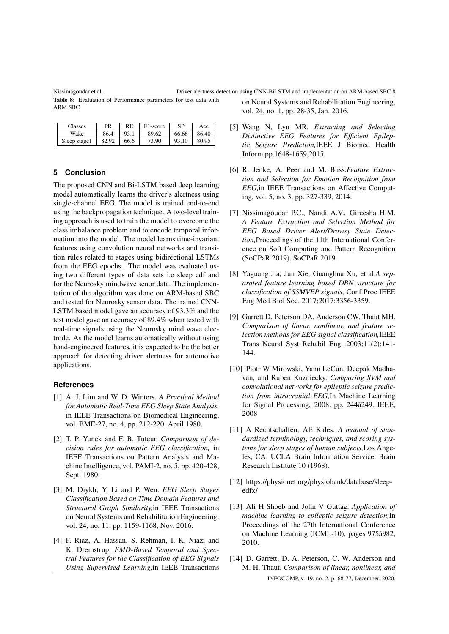#### Nissimagoudar et al. Driver alertness detection using CNN-BiLSTM and implementation on ARM-based SBC 8

Table 8: Evaluation of Performance parameters for test data with ARM SBC

| <b>Tasses</b> | PR    | RE   | F1-score | SP    | Acc   |
|---------------|-------|------|----------|-------|-------|
| Wake          | 86.4  | 93.1 | 89.62    | 66.66 | 86.40 |
| Sleep stage1  | 82.92 | 66.6 | 73.90    | 93.10 | 80.95 |

#### **5 Conclusion**

The proposed CNN and Bi-LSTM based deep learning model automatically learns the driver's alertness using single-channel EEG. The model is trained end-to-end using the backpropagation technique. A two-level training approach is used to train the model to overcome the class imbalance problem and to encode temporal information into the model. The model learns time-invariant features using convolution neural networks and transition rules related to stages using bidirectional LSTMs from the EEG epochs. The model was evaluated using two different types of data sets i.e sleep edf and for the Neurosky mindwave senor data. The implementation of the algorithm was done on ARM-based SBC and tested for Neurosky sensor data. The trained CNN-LSTM based model gave an accuracy of 93.3% and the test model gave an accuracy of 89.4% when tested with real-time signals using the Neurosky mind wave electrode. As the model learns automatically without using hand-engineered features, it is expected to be the better approach for detecting driver alertness for automotive applications.

### **References**

- [1] A. J. Lim and W. D. Winters. *A Practical Method for Automatic Real-Time EEG Sleep State Analysis,* in IEEE Transactions on Biomedical Engineering, vol. BME-27, no. 4, pp. 212-220, April 1980.
- [2] T. P. Yunck and F. B. Tuteur. *Comparison of decision rules for automatic EEG classification,* in IEEE Transactions on Pattern Analysis and Machine Intelligence, vol. PAMI-2, no. 5, pp. 420-428, Sept. 1980.
- [3] M. Diykh, Y. Li and P. Wen. *EEG Sleep Stages Classification Based on Time Domain Features and Structural Graph Similarity,*in IEEE Transactions on Neural Systems and Rehabilitation Engineering, vol. 24, no. 11, pp. 1159-1168, Nov. 2016.
- [4] F. Riaz, A. Hassan, S. Rehman, I. K. Niazi and K. Dremstrup. *EMD-Based Temporal and Spectral Features for the Classification of EEG Signals Using Supervised Learning,*in IEEE Transactions

on Neural Systems and Rehabilitation Engineering, vol. 24, no. 1, pp. 28-35, Jan. 2016.

- [5] Wang N, Lyu MR. *Extracting and Selecting Distinctive EEG Features for Efficient Epileptic Seizure Prediction,*IEEE J Biomed Health Inform.pp.1648-1659,2015.
- [6] R. Jenke, A. Peer and M. Buss.*Feature Extraction and Selection for Emotion Recognition from EEG,*in IEEE Transactions on Affective Computing, vol. 5, no. 3, pp. 327-339, 2014.
- [7] Nissimagoudar P.C., Nandi A.V., Gireesha H.M. *A Feature Extraction and Selection Method for EEG Based Driver Alert/Drowsy State Detection,*Proceedings of the 11th International Conference on Soft Computing and Pattern Recognition (SoCPaR 2019). SoCPaR 2019.
- [8] Yaguang Jia, Jun Xie, Guanghua Xu, et al.*A separated feature learning based DBN structure for classification of SSMVEP signals,* Conf Proc IEEE Eng Med Biol Soc. 2017;2017:3356-3359.
- [9] Garrett D, Peterson DA, Anderson CW, Thaut MH. *Comparison of linear, nonlinear, and feature selection methods for EEG signal classification,*IEEE Trans Neural Syst Rehabil Eng. 2003;11(2):141- 144.
- [10] Piotr W Mirowski, Yann LeCun, Deepak Madhavan, and Ruben Kuzniecky. *Comparing SVM and convolutional networks for epileptic seizure prediction from intracranial EEG,*In Machine Learning for Signal Processing, 2008. pp. 244â249. IEEE, 2008
- [11] A Rechtschaffen, AE Kales. *A manual of standardized terminology, techniques, and scoring systems for sleep stages of human subjects,*Los Angeles, CA: UCLA Brain Information Service. Brain Research Institute 10 (1968).
- [12] https://physionet.org/physiobank/database/sleepedfx/
- [13] Ali H Shoeb and John V Guttag. *Application of machine learning to epileptic seizure detection,*In Proceedings of the 27th International Conference on Machine Learning (ICML-10), pages 975â982, 2010.
- [14] D. Garrett, D. A. Peterson, C. W. Anderson and M. H. Thaut. *Comparison of linear, nonlinear, and* INFOCOMP, v. 19, no. 2, p. 68-77, December, 2020.